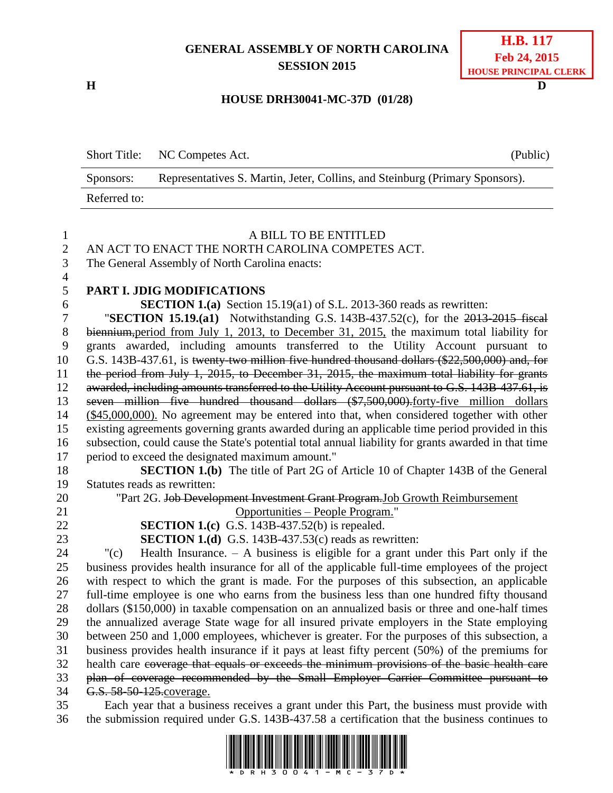## **GENERAL ASSEMBLY OF NORTH CAROLINA SESSION 2015**

**H D**

## **HOUSE DRH30041-MC-37D (01/28)**

|              | Short Title: NC Competes Act.                                                | (Public) |
|--------------|------------------------------------------------------------------------------|----------|
| Sponsors:    | Representatives S. Martin, Jeter, Collins, and Steinburg (Primary Sponsors). |          |
| Referred to: |                                                                              |          |

## A BILL TO BE ENTITLED

AN ACT TO ENACT THE NORTH CAROLINA COMPETES ACT.

The General Assembly of North Carolina enacts:

**PART I. JDIG MODIFICATIONS**

**SECTION 1.(a)** Section 15.19(a1) of S.L. 2013-360 reads as rewritten:

 "**SECTION 15.19.(a1)** Notwithstanding G.S. 143B-437.52(c), for the 2013-2015 fiscal biennium,period from July 1, 2013, to December 31, 2015, the maximum total liability for grants awarded, including amounts transferred to the Utility Account pursuant to G.S. 143B-437.61, is twenty-two million five hundred thousand dollars (\$22,500,000) and, for the period from July 1, 2015, to December 31, 2015, the maximum total liability for grants awarded, including amounts transferred to the Utility Account pursuant to G.S. 143B-437.61, is 13 seven million five hundred thousand dollars (\$7,500,000).forty-five million dollars (\$45,000,000). No agreement may be entered into that, when considered together with other existing agreements governing grants awarded during an applicable time period provided in this subsection, could cause the State's potential total annual liability for grants awarded in that time period to exceed the designated maximum amount."

 **SECTION 1.(b)** The title of Part 2G of Article 10 of Chapter 143B of the General Statutes reads as rewritten:

20 "Part 2G. Job Development Investment Grant Program. Job Growth Reimbursement Opportunities – People Program."

**SECTION 1.(c)** G.S. 143B-437.52(b) is repealed.

**SECTION 1.(d)** G.S. 143B-437.53(c) reads as rewritten:

 "(c) Health Insurance. – A business is eligible for a grant under this Part only if the business provides health insurance for all of the applicable full-time employees of the project with respect to which the grant is made. For the purposes of this subsection, an applicable full-time employee is one who earns from the business less than one hundred fifty thousand dollars (\$150,000) in taxable compensation on an annualized basis or three and one-half times the annualized average State wage for all insured private employers in the State employing between 250 and 1,000 employees, whichever is greater. For the purposes of this subsection, a business provides health insurance if it pays at least fifty percent (50%) of the premiums for health care coverage that equals or exceeds the minimum provisions of the basic health care plan of coverage recommended by the Small Employer Carrier Committee pursuant to G.S. 58-50-125.coverage.

 Each year that a business receives a grant under this Part, the business must provide with the submission required under G.S. 143B-437.58 a certification that the business continues to

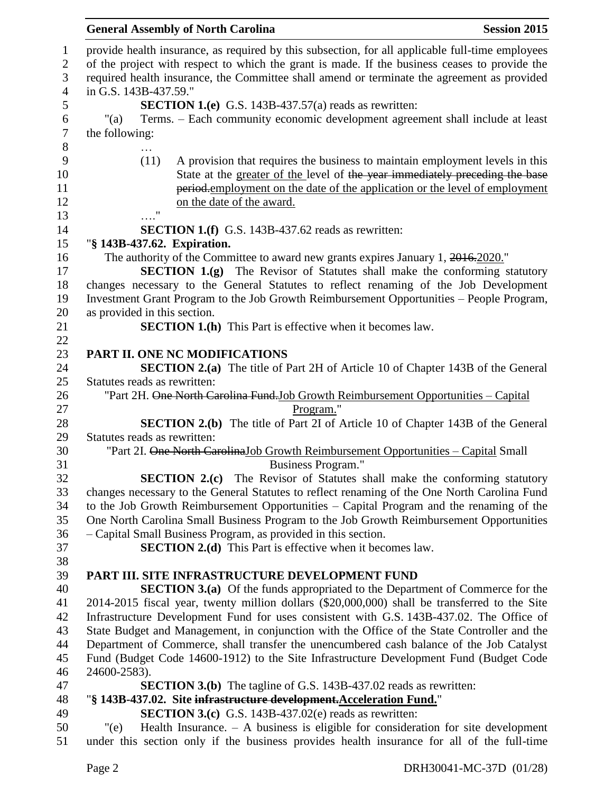## **General Assembly of North Carolina Session 2015**

| $\mathbf{1}$   | provide health insurance, as required by this subsection, for all applicable full-time employees |
|----------------|--------------------------------------------------------------------------------------------------|
| $\overline{2}$ | of the project with respect to which the grant is made. If the business ceases to provide the    |
| 3              | required health insurance, the Committee shall amend or terminate the agreement as provided      |
| $\overline{4}$ | in G.S. 143B-437.59."                                                                            |
| 5              | <b>SECTION 1.(e)</b> G.S. 143B-437.57(a) reads as rewritten:                                     |
| 6              | Terms. – Each community economic development agreement shall include at least<br>"(a)            |
| $\tau$         | the following:                                                                                   |
| $8\,$          |                                                                                                  |
| 9              | A provision that requires the business to maintain employment levels in this<br>(11)             |
| 10             | State at the greater of the level of the year immediately preceding the base                     |
| 11             | period-employment on the date of the application or the level of employment                      |
| 12             | on the date of the award.                                                                        |
| 13             | $\pmb{\mathsf{H}}$                                                                               |
| 14             | <b>SECTION 1.(f)</b> G.S. 143B-437.62 reads as rewritten:                                        |
| 15             | "§ 143B-437.62. Expiration.                                                                      |
| 16             | The authority of the Committee to award new grants expires January 1, 2016.2020."                |
| 17             | <b>SECTION 1.(g)</b> The Revisor of Statutes shall make the conforming statutory                 |
| 18             | changes necessary to the General Statutes to reflect renaming of the Job Development             |
| 19             | Investment Grant Program to the Job Growth Reimbursement Opportunities - People Program,         |
| 20             | as provided in this section.                                                                     |
| 21             | <b>SECTION 1.(h)</b> This Part is effective when it becomes law.                                 |
| 22             |                                                                                                  |
| 23             | PART II. ONE NC MODIFICATIONS                                                                    |
| 24             | <b>SECTION 2.(a)</b> The title of Part 2H of Article 10 of Chapter 143B of the General           |
| 25             | Statutes reads as rewritten:                                                                     |
| 26             | "Part 2H. One North Carolina Fund. Job Growth Reimbursement Opportunities - Capital              |
| 27             | Program."                                                                                        |
| 28             | <b>SECTION 2.(b)</b> The title of Part 2I of Article 10 of Chapter 143B of the General           |
| 29             | Statutes reads as rewritten:                                                                     |
| 30             | "Part 2I. One North Carolina Job Growth Reimbursement Opportunities - Capital Small              |
| 31             | <b>Business Program."</b>                                                                        |
| 32             | <b>SECTION 2.(c)</b> The Revisor of Statutes shall make the conforming statutory                 |
| 33             | changes necessary to the General Statutes to reflect renaming of the One North Carolina Fund     |
| 34             | to the Job Growth Reimbursement Opportunities – Capital Program and the renaming of the          |
| 35             | One North Carolina Small Business Program to the Job Growth Reimbursement Opportunities          |
| 36             | - Capital Small Business Program, as provided in this section.                                   |
| 37             | <b>SECTION 2.(d)</b> This Part is effective when it becomes law.                                 |
| 38             |                                                                                                  |
| 39             | PART III. SITE INFRASTRUCTURE DEVELOPMENT FUND                                                   |
| 40             | <b>SECTION 3.(a)</b> Of the funds appropriated to the Department of Commerce for the             |
| 41             | 2014-2015 fiscal year, twenty million dollars (\$20,000,000) shall be transferred to the Site    |
| 42             | Infrastructure Development Fund for uses consistent with G.S. 143B-437.02. The Office of         |
| 43             | State Budget and Management, in conjunction with the Office of the State Controller and the      |
| 44             | Department of Commerce, shall transfer the unencumbered cash balance of the Job Catalyst         |
| 45             | Fund (Budget Code 14600-1912) to the Site Infrastructure Development Fund (Budget Code           |
| 46             | 24600-2583).                                                                                     |
| 47             | <b>SECTION 3.(b)</b> The tagline of G.S. 143B-437.02 reads as rewritten:                         |
| 48             | "§ 143B-437.02. Site infrastructure development. Acceleration Fund."                             |
| 49             | <b>SECTION 3.(c)</b> G.S. 143B-437.02(e) reads as rewritten:                                     |
| 50             | Health Insurance. $-$ A business is eligible for consideration for site development<br>" $(e)$   |
| 51             | under this section only if the business provides health insurance for all of the full-time       |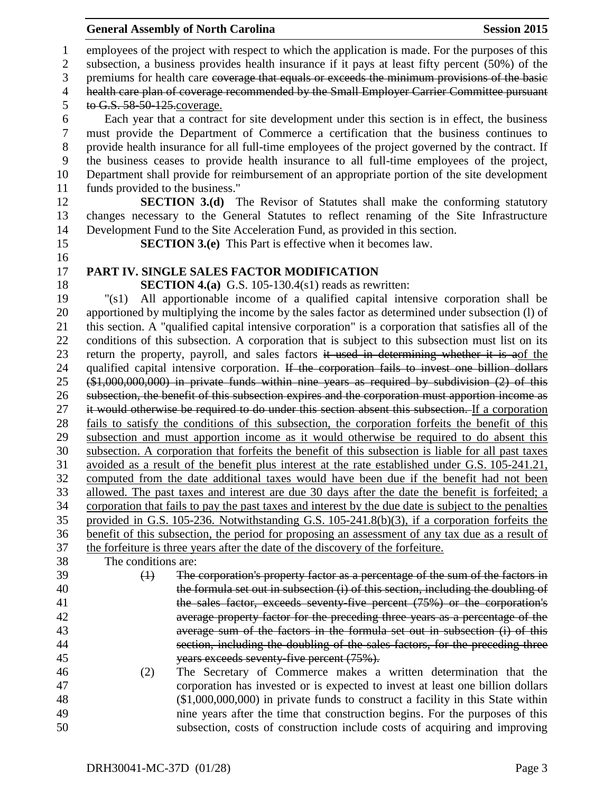| 1              | employees of the project with respect to which the application is made. For the purposes of this                                                                                  |
|----------------|-----------------------------------------------------------------------------------------------------------------------------------------------------------------------------------|
| $\mathbf{2}$   | subsection, a business provides health insurance if it pays at least fifty percent (50%) of the                                                                                   |
| 3              | premiums for health care coverage that equals or exceeds the minimum provisions of the basic                                                                                      |
| $\overline{4}$ | health care plan of coverage recommended by the Small Employer Carrier Committee pursuant                                                                                         |
| 5              | to G.S. 58-50-125. coverage.                                                                                                                                                      |
| 6              | Each year that a contract for site development under this section is in effect, the business                                                                                      |
| $\overline{7}$ | must provide the Department of Commerce a certification that the business continues to                                                                                            |
| $8\,$          | provide health insurance for all full-time employees of the project governed by the contract. If                                                                                  |
| 9              | the business ceases to provide health insurance to all full-time employees of the project,                                                                                        |
| 10             | Department shall provide for reimbursement of an appropriate portion of the site development                                                                                      |
| 11             | funds provided to the business."                                                                                                                                                  |
| 12             | <b>SECTION 3.(d)</b> The Revisor of Statutes shall make the conforming statutory                                                                                                  |
| 13             | changes necessary to the General Statutes to reflect renaming of the Site Infrastructure                                                                                          |
| 14             | Development Fund to the Site Acceleration Fund, as provided in this section.                                                                                                      |
| 15             | <b>SECTION 3.(e)</b> This Part is effective when it becomes law.                                                                                                                  |
| 16             |                                                                                                                                                                                   |
| 17             | PART IV. SINGLE SALES FACTOR MODIFICATION                                                                                                                                         |
| 18             | <b>SECTION 4.(a)</b> G.S. 105-130.4(s1) reads as rewritten:                                                                                                                       |
| 19             | All apportionable income of a qualified capital intensive corporation shall be<br>" $(s1)$                                                                                        |
| 20             | apportioned by multiplying the income by the sales factor as determined under subsection (1) of                                                                                   |
| 21             | this section. A "qualified capital intensive corporation" is a corporation that satisfies all of the                                                                              |
| 22             | conditions of this subsection. A corporation that is subject to this subsection must list on its                                                                                  |
| 23             | return the property, payroll, and sales factors it used in determining whether it is aof the                                                                                      |
| 24             | qualified capital intensive corporation. If the corporation fails to invest one billion dollars                                                                                   |
| 25             | $($1,000,000,000)$ in private funds within nine years as required by subdivision $(2)$ of this                                                                                    |
| 26             | subsection, the benefit of this subsection expires and the corporation must apportion income as                                                                                   |
| 27             | it would otherwise be required to do under this section absent this subsection. If a corporation                                                                                  |
| 28             | fails to satisfy the conditions of this subsection, the corporation forfeits the benefit of this                                                                                  |
| 29             | subsection and must apportion income as it would otherwise be required to do absent this                                                                                          |
| 30             | subsection. A corporation that forfeits the benefit of this subsection is liable for all past taxes                                                                               |
| 31             | avoided as a result of the benefit plus interest at the rate established under G.S. 105-241.21,                                                                                   |
| 32             | computed from the date additional taxes would have been due if the benefit had not been                                                                                           |
| 33             | allowed. The past taxes and interest are due 30 days after the date the benefit is forfeited; a                                                                                   |
| 34             | corporation that fails to pay the past taxes and interest by the due date is subject to the penalties                                                                             |
| 35             | provided in G.S. 105-236. Notwithstanding G.S. 105-241.8(b)(3), if a corporation forfeits the                                                                                     |
| 36             | benefit of this subsection, the period for proposing an assessment of any tax due as a result of                                                                                  |
| 37<br>38       | the forfeiture is three years after the date of the discovery of the forfeiture.<br>The conditions are:                                                                           |
| 39             |                                                                                                                                                                                   |
| 40             | The corporation's property factor as a percentage of the sum of the factors in<br>$\bigoplus$<br>the formula set out in subsection (i) of this section, including the doubling of |
| 41             | the sales factor, exceeds seventy five percent (75%) or the corporation's                                                                                                         |
| 42             | average property factor for the preceding three years as a percentage of the                                                                                                      |
| 43             | average sum of the factors in the formula set out in subsection (i) of this                                                                                                       |
| 44             | section, including the doubling of the sales factors, for the preceding three                                                                                                     |
| 45             | years exceeds seventy five percent (75%).                                                                                                                                         |
| 46             | The Secretary of Commerce makes a written determination that the<br>(2)                                                                                                           |
| 47             | corporation has invested or is expected to invest at least one billion dollars                                                                                                    |
| 48             | (\$1,000,000,000) in private funds to construct a facility in this State within                                                                                                   |
| 49             | nine years after the time that construction begins. For the purposes of this                                                                                                      |
| 50             | subsection, costs of construction include costs of acquiring and improving                                                                                                        |
|                |                                                                                                                                                                                   |

**General Assembly of North Carolina Session 2015**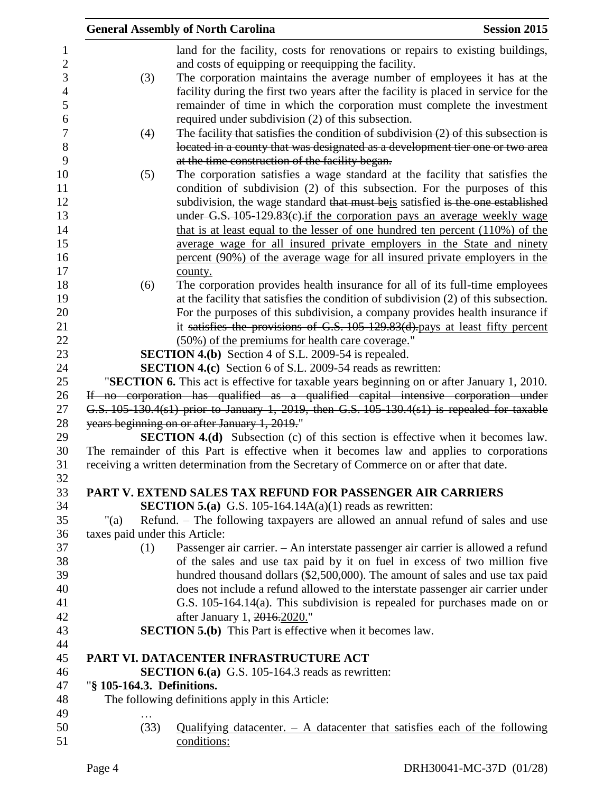|                                | <b>General Assembly of North Carolina</b>                                                                                             | <b>Session 2015</b> |
|--------------------------------|---------------------------------------------------------------------------------------------------------------------------------------|---------------------|
|                                | land for the facility, costs for renovations or repairs to existing buildings,<br>and costs of equipping or reequipping the facility. |                     |
| (3)                            | The corporation maintains the average number of employees it has at the                                                               |                     |
|                                | facility during the first two years after the facility is placed in service for the                                                   |                     |
|                                | remainder of time in which the corporation must complete the investment                                                               |                     |
|                                | required under subdivision (2) of this subsection.                                                                                    |                     |
| (4)                            | The facility that satisfies the condition of subdivision $(2)$ of this subsection is                                                  |                     |
|                                | located in a county that was designated as a development tier one or two area<br>at the time construction of the facility began.      |                     |
| (5)                            | The corporation satisfies a wage standard at the facility that satisfies the                                                          |                     |
|                                | condition of subdivision (2) of this subsection. For the purposes of this                                                             |                     |
|                                | subdivision, the wage standard that must beis satisfied is the one established                                                        |                     |
|                                | under G.S. $105-129.83(c)$ if the corporation pays an average weekly wage                                                             |                     |
|                                | that is at least equal to the lesser of one hundred ten percent $(110\%)$ of the                                                      |                     |
|                                | average wage for all insured private employers in the State and ninety                                                                |                     |
|                                | percent (90%) of the average wage for all insured private employers in the                                                            |                     |
|                                | county.                                                                                                                               |                     |
| (6)                            | The corporation provides health insurance for all of its full-time employees                                                          |                     |
|                                | at the facility that satisfies the condition of subdivision (2) of this subsection.                                                   |                     |
|                                | For the purposes of this subdivision, a company provides health insurance if                                                          |                     |
|                                | it satisfies the provisions of G.S. 105-129.83(d).pays at least fifty percent                                                         |                     |
|                                | (50%) of the premiums for health care coverage."                                                                                      |                     |
|                                | <b>SECTION 4.(b)</b> Section 4 of S.L. 2009-54 is repealed.                                                                           |                     |
|                                | <b>SECTION 4.(c)</b> Section 6 of S.L. 2009-54 reads as rewritten:                                                                    |                     |
|                                | "SECTION 6. This act is effective for taxable years beginning on or after January 1, 2010.                                            |                     |
|                                | If no corporation has qualified as a qualified capital intensive corporation under                                                    |                     |
|                                | G.S. 105-130.4(s1) prior to January 1, 2019, then G.S. 105-130.4(s1) is repealed for taxable                                          |                     |
|                                | years beginning on or after January 1, 2019."                                                                                         |                     |
|                                | <b>SECTION 4.(d)</b> Subsection (c) of this section is effective when it becomes law.                                                 |                     |
|                                | The remainder of this Part is effective when it becomes law and applies to corporations                                               |                     |
|                                | receiving a written determination from the Secretary of Commerce on or after that date.                                               |                     |
|                                | PART V. EXTEND SALES TAX REFUND FOR PASSENGER AIR CARRIERS                                                                            |                     |
|                                | <b>SECTION 5.(a)</b> G.S. 105-164.14A(a)(1) reads as rewritten:                                                                       |                     |
| " $(a)$                        | Refund. – The following taxpayers are allowed an annual refund of sales and use                                                       |                     |
| taxes paid under this Article: |                                                                                                                                       |                     |
| (1)                            | Passenger air carrier. - An interstate passenger air carrier is allowed a refund                                                      |                     |
|                                | of the sales and use tax paid by it on fuel in excess of two million five                                                             |                     |
|                                | hundred thousand dollars (\$2,500,000). The amount of sales and use tax paid                                                          |                     |
|                                | does not include a refund allowed to the interstate passenger air carrier under                                                       |                     |
|                                | G.S. 105-164.14(a). This subdivision is repealed for purchases made on or                                                             |                     |
|                                | after January 1, 2016.2020."                                                                                                          |                     |
|                                | <b>SECTION 5.(b)</b> This Part is effective when it becomes law.                                                                      |                     |
|                                |                                                                                                                                       |                     |
|                                | PART VI. DATACENTER INFRASTRUCTURE ACT                                                                                                |                     |
|                                | <b>SECTION 6.(a)</b> G.S. 105-164.3 reads as rewritten:                                                                               |                     |
| "§ 105-164.3. Definitions.     |                                                                                                                                       |                     |
|                                | The following definitions apply in this Article:                                                                                      |                     |
|                                |                                                                                                                                       |                     |
| (33)                           | Qualifying datacenter. $-$ A datacenter that satisfies each of the following<br>conditions:                                           |                     |
|                                |                                                                                                                                       |                     |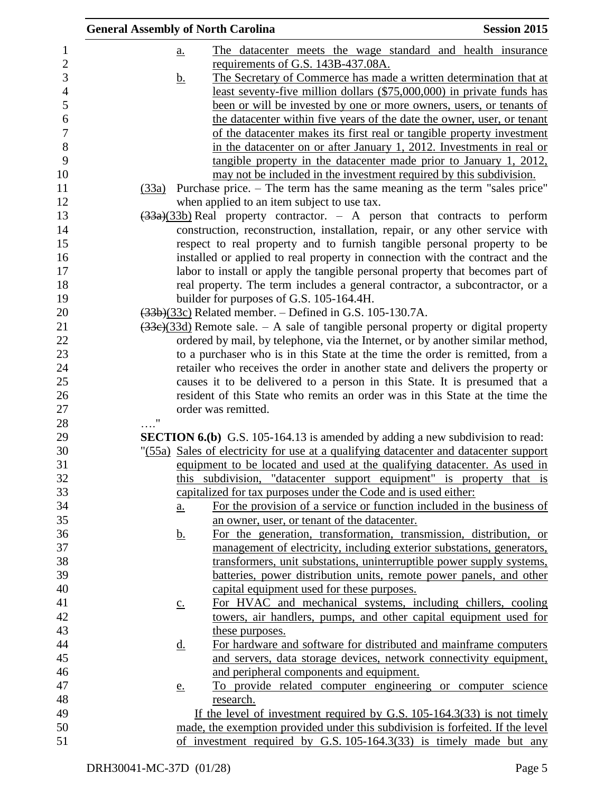| <b>General Assembly of North Carolina</b> |                   |                                                                                       | <b>Session 2015</b> |
|-------------------------------------------|-------------------|---------------------------------------------------------------------------------------|---------------------|
|                                           | <u>a.</u>         | The datacenter meets the wage standard and health insurance                           |                     |
|                                           |                   | requirements of G.S. 143B-437.08A.                                                    |                     |
|                                           | <u>b.</u>         | The Secretary of Commerce has made a written determination that at                    |                     |
|                                           |                   | least seventy-five million dollars (\$75,000,000) in private funds has                |                     |
|                                           |                   | been or will be invested by one or more owners, users, or tenants of                  |                     |
|                                           |                   | the datacenter within five years of the date the owner, user, or tenant               |                     |
|                                           |                   | of the datacenter makes its first real or tangible property investment                |                     |
|                                           |                   | in the datacenter on or after January 1, 2012. Investments in real or                 |                     |
|                                           |                   | tangible property in the datacenter made prior to January 1, 2012,                    |                     |
|                                           |                   | may not be included in the investment required by this subdivision.                   |                     |
|                                           |                   | (33a) Purchase price. – The term has the same meaning as the term "sales price"       |                     |
|                                           |                   | when applied to an item subject to use tax.                                           |                     |
|                                           |                   | $\frac{33a}{33b}$ Real property contractor. - A person that contracts to perform      |                     |
|                                           |                   | construction, reconstruction, installation, repair, or any other service with         |                     |
|                                           |                   | respect to real property and to furnish tangible personal property to be              |                     |
|                                           |                   | installed or applied to real property in connection with the contract and the         |                     |
|                                           |                   | labor to install or apply the tangible personal property that becomes part of         |                     |
|                                           |                   | real property. The term includes a general contractor, a subcontractor, or a          |                     |
|                                           |                   | builder for purposes of G.S. 105-164.4H.                                              |                     |
|                                           |                   | $(33b)(33c)$ Related member. – Defined in G.S. 105-130.7A.                            |                     |
|                                           |                   | $(33e)(33d)$ Remote sale. - A sale of tangible personal property or digital property  |                     |
|                                           |                   | ordered by mail, by telephone, via the Internet, or by another similar method,        |                     |
|                                           |                   | to a purchaser who is in this State at the time the order is remitted, from a         |                     |
|                                           |                   | retailer who receives the order in another state and delivers the property or         |                     |
|                                           |                   | causes it to be delivered to a person in this State. It is presumed that a            |                     |
|                                           |                   | resident of this State who remits an order was in this State at the time the          |                     |
|                                           |                   | order was remitted.                                                                   |                     |
| 11                                        |                   |                                                                                       |                     |
|                                           |                   | <b>SECTION 6.(b)</b> G.S. 105-164.13 is amended by adding a new subdivision to read:  |                     |
|                                           |                   | "(55a) Sales of electricity for use at a qualifying datacenter and datacenter support |                     |
|                                           |                   | equipment to be located and used at the qualifying datacenter. As used in             |                     |
|                                           |                   | this subdivision, "datacenter support equipment" is property that is                  |                     |
|                                           |                   | capitalized for tax purposes under the Code and is used either:                       |                     |
|                                           | <u>a.</u>         | For the provision of a service or function included in the business of                |                     |
|                                           |                   | an owner, user, or tenant of the datacenter.                                          |                     |
|                                           | <u>b.</u>         | For the generation, transformation, transmission, distribution, or                    |                     |
|                                           |                   | management of electricity, including exterior substations, generators,                |                     |
|                                           |                   | transformers, unit substations, uninterruptible power supply systems,                 |                     |
|                                           |                   | batteries, power distribution units, remote power panels, and other                   |                     |
|                                           |                   | capital equipment used for these purposes.                                            |                     |
|                                           | $\underline{c}$ . | For HVAC and mechanical systems, including chillers, cooling                          |                     |
|                                           |                   | towers, air handlers, pumps, and other capital equipment used for                     |                     |
|                                           |                   | these purposes.                                                                       |                     |
|                                           | <u>d.</u>         | For hardware and software for distributed and mainframe computers                     |                     |
|                                           |                   | and servers, data storage devices, network connectivity equipment,                    |                     |
|                                           |                   | and peripheral components and equipment.                                              |                     |
|                                           |                   | To provide related computer engineering or computer science                           |                     |
|                                           | e.                | research.                                                                             |                     |
|                                           |                   | If the level of investment required by G.S. $105-164.3(33)$ is not timely             |                     |
|                                           |                   | made, the exemption provided under this subdivision is forfeited. If the level        |                     |
|                                           |                   | of investment required by G.S. $105-164.3(33)$ is timely made but any                 |                     |
|                                           |                   |                                                                                       |                     |